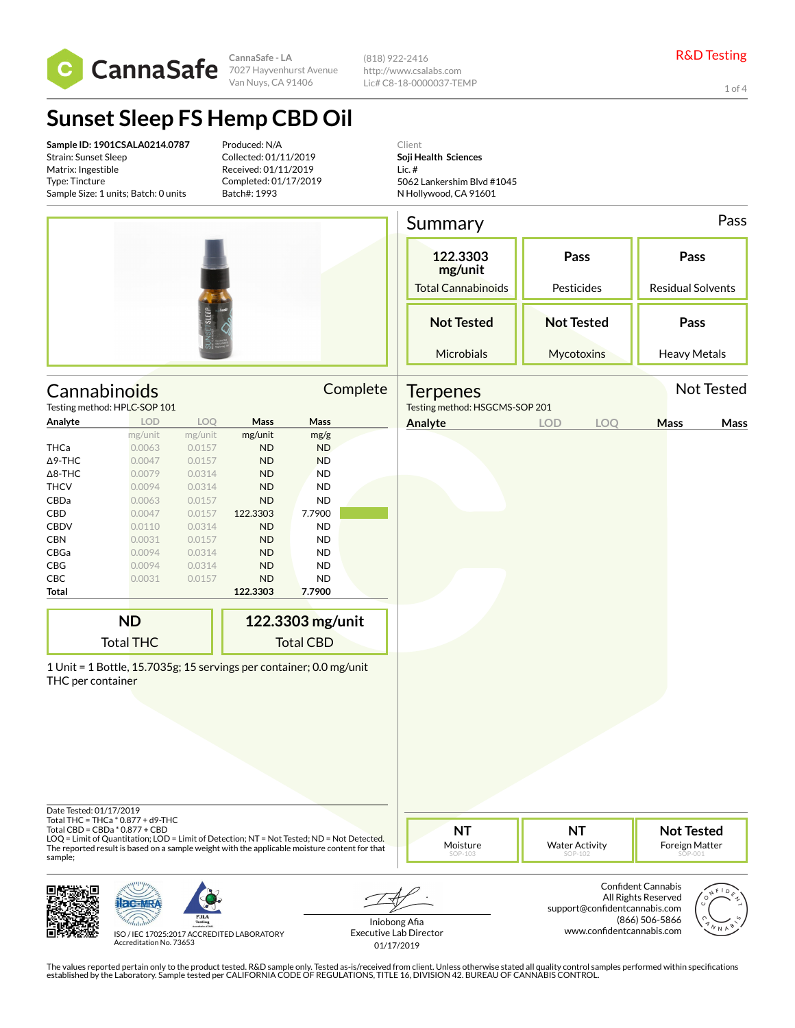

**CannaSafe - LA** Van Nuys, CA 91406 (818) 922-2416 http://www.csalabs.com Lic# C8-18-0000037-TEMP

1 of 4

# **Sunset Sleep FS Hemp CBD Oil**

**Sample ID: 1901CSALA0214.0787** Strain: Sunset Sleep Matrix: Ingestible Type: Tincture Sample Size: 1 units; Batch: 0 units

Produced: N/A Collected: 01/11/2019 Received: 01/11/2019 Completed: 01/17/2019 Batch#: 1993

Client **Soji Health Sciences** Lic. # 5062 Lankershim Blvd #1045 N Hollywood, CA 91601

|                                              |                                                                     |         |                       |                     |                                                  | Summary                                           |            |                                  |                     | Pass       |
|----------------------------------------------|---------------------------------------------------------------------|---------|-----------------------|---------------------|--------------------------------------------------|---------------------------------------------------|------------|----------------------------------|---------------------|------------|
|                                              |                                                                     |         |                       |                     | 122.3303<br>mg/unit<br><b>Total Cannabinoids</b> | Pass<br>Pesticides                                |            | Pass<br><b>Residual Solvents</b> |                     |            |
|                                              |                                                                     |         |                       |                     |                                                  | <b>Not Tested</b>                                 |            | <b>Not Tested</b>                | Pass                |            |
|                                              |                                                                     |         |                       |                     |                                                  | Microbials                                        |            | Mycotoxins                       | <b>Heavy Metals</b> |            |
|                                              | Cannabinoids<br>Testing method: HPLC-SOP 101                        |         |                       |                     | Complete                                         | <b>Terpenes</b><br>Testing method: HSGCMS-SOP 201 |            |                                  |                     | Not Tested |
| Analyte                                      | <b>LOD</b>                                                          | LOQ     | Mass                  | Mass                |                                                  | Analyte                                           | <b>LOD</b> | LOQ                              | Mass                | Mass       |
|                                              | mg/unit                                                             | mg/unit | mg/unit               | mg/g                |                                                  |                                                   |            |                                  |                     |            |
| THCa                                         | 0.0063                                                              | 0.0157  | <b>ND</b>             | <b>ND</b>           |                                                  |                                                   |            |                                  |                     |            |
| ∆9-THC                                       | 0.0047                                                              | 0.0157  | <b>ND</b>             | <b>ND</b>           |                                                  |                                                   |            |                                  |                     |            |
| $\Delta$ 8-THC                               | 0.0079                                                              | 0.0314  | <b>ND</b>             | <b>ND</b>           |                                                  |                                                   |            |                                  |                     |            |
| <b>THCV</b>                                  | 0.0094                                                              | 0.0314  | <b>ND</b>             | <b>ND</b>           |                                                  |                                                   |            |                                  |                     |            |
| CBDa                                         | 0.0063                                                              | 0.0157  | <b>ND</b>             | <b>ND</b>           |                                                  |                                                   |            |                                  |                     |            |
| CBD                                          | 0.0047                                                              | 0.0157  | 122.3303              | 7.7900              |                                                  |                                                   |            |                                  |                     |            |
| <b>CBDV</b>                                  | 0.0110                                                              | 0.0314  | <b>ND</b>             | <b>ND</b>           |                                                  |                                                   |            |                                  |                     |            |
| CBN                                          | 0.0031                                                              | 0.0157  | <b>ND</b>             | <b>ND</b>           |                                                  |                                                   |            |                                  |                     |            |
| CBGa                                         | 0.0094                                                              | 0.0314  | <b>ND</b>             | <b>ND</b>           |                                                  |                                                   |            |                                  |                     |            |
| CBG                                          | 0.0094                                                              | 0.0314  | <b>ND</b>             | <b>ND</b>           |                                                  |                                                   |            |                                  |                     |            |
| CBC<br><b>Total</b>                          | 0.0031                                                              | 0.0157  | <b>ND</b><br>122.3303 | <b>ND</b><br>7.7900 |                                                  |                                                   |            |                                  |                     |            |
|                                              | <b>ND</b>                                                           |         |                       |                     |                                                  |                                                   |            |                                  |                     |            |
|                                              |                                                                     |         |                       | 122.3303 mg/unit    |                                                  |                                                   |            |                                  |                     |            |
|                                              | <b>Total THC</b>                                                    |         |                       | <b>Total CBD</b>    |                                                  |                                                   |            |                                  |                     |            |
| THC per container<br>Date Tested: 01/17/2019 | 1 Unit = 1 Bottle, 15.7035g; 15 servings per container; 0.0 mg/unit |         |                       |                     |                                                  |                                                   |            |                                  |                     |            |
|                                              | Total THC = THCa * 0.877 + d9-THC<br>Total CBD = CBDa * 0.877 + CBD |         |                       |                     |                                                  | <b>NT</b>                                         |            | <b>NT</b>                        | Not Tested          |            |

LOQ = Limit of Quantitation; LOD = Limit of Detection; NT = Not Tested; ND = Not Detected. The reported result is based on a sample weight with the applicable moisture content for that sample;

**NT** Moisture

**NT** Water Activity

**Not Tested** Foreign Matter





ISO / IEC 17025:2017 ACCREDITED LABORATORY Accreditation No. 73653

Iniobong Afia Executive Lab Director 01/17/2019

Confident Cannabis All Rights Reserved support@confidentcannabis.com (866) 506-5866 www.confidentcannabis.com

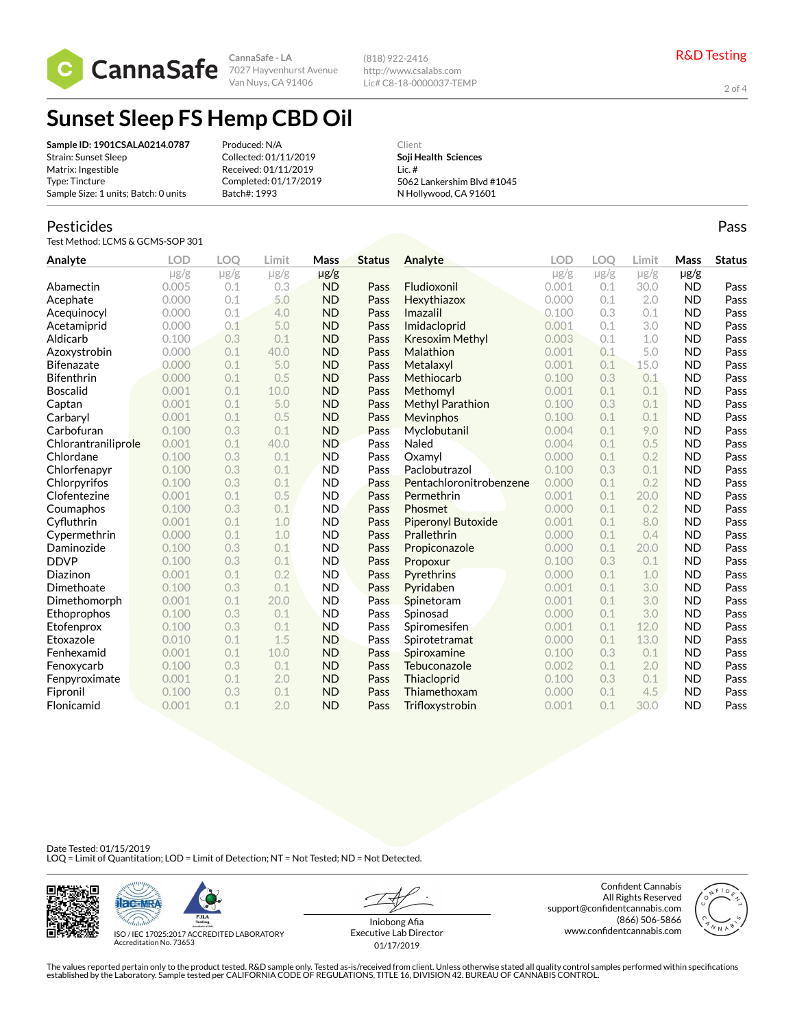

**CannaSafe - LA** Van Nuys, CA 91406

(818) 922-2416 http://www.csalabs.com Lic# C8-18-0000037-TEMP

2 of 4

Pass

## **Sunset Sleep FS Hemp CBD Oil**

| Sample ID: 1901CSALA0214.0787        | Produced: N/A         | Client                     |
|--------------------------------------|-----------------------|----------------------------|
| Strain: Sunset Sleep                 | Collected: 01/11/2019 | Soii Health Sciences       |
| Matrix: Ingestible                   | Received: 01/11/2019  | Lic.#                      |
| Type: Tincture                       | Completed: 01/17/2019 | 5062 Lankershim Blvd #1045 |
| Sample Size: 1 units; Batch: 0 units | Batch#: 1993          | N Hollywood, CA 91601      |

#### Pesticides

Test Method: LCMS & GCMS-SOP 301

| Analyte             | <b>LOD</b> | <b>LOO</b> | Limit     | Mass      | <b>Status</b> | Analyte                 | <b>LOD</b> | LOO       | Limit     | Mass      | <b>Status</b> |
|---------------------|------------|------------|-----------|-----------|---------------|-------------------------|------------|-----------|-----------|-----------|---------------|
|                     | $\mu$ g/g  | $\mu$ g/g  | $\mu$ g/g | $\mu$ g/g |               |                         | $\mu$ g/g  | $\mu$ g/g | $\mu$ g/g | $\mu$ g/g |               |
| Abamectin           | 0.005      | 0.1        | 0.3       | <b>ND</b> | Pass          | Fludioxonil             | 0.001      | 0.1       | 30.0      | <b>ND</b> | Pass          |
| Acephate            | 0.000      | 0.1        | 5.0       | <b>ND</b> | Pass          | Hexythiazox             | 0.000      | 0.1       | 2.0       | <b>ND</b> | Pass          |
| Acequinocyl         | 0.000      | 0.1        | 4.0       | <b>ND</b> | Pass          | Imazalil                | 0.100      | 0.3       | 0.1       | <b>ND</b> | Pass          |
| Acetamiprid         | 0.000      | 0.1        | 5.0       | <b>ND</b> | Pass          | Imidacloprid            | 0.001      | 0.1       | 3.0       | <b>ND</b> | Pass          |
| Aldicarb            | 0.100      | 0.3        | 0.1       | <b>ND</b> | Pass          | <b>Kresoxim Methyl</b>  | 0.003      | 0.1       | 1.0       | <b>ND</b> | Pass          |
| Azoxystrobin        | 0.000      | 0.1        | 40.0      | <b>ND</b> | Pass          | Malathion               | 0.001      | 0.1       | 5.0       | <b>ND</b> | Pass          |
| <b>Bifenazate</b>   | 0.000      | 0.1        | 5.0       | <b>ND</b> | Pass          | Metalaxyl               | 0.001      | 0.1       | 15.0      | <b>ND</b> | Pass          |
| <b>Bifenthrin</b>   | 0.000      | 0.1        | 0.5       | <b>ND</b> | Pass          | Methiocarb              | 0.100      | 0.3       | 0.1       | <b>ND</b> | Pass          |
| <b>Boscalid</b>     | 0.001      | 0.1        | 10.0      | <b>ND</b> | Pass          | Methomyl                | 0.001      | 0.1       | 0.1       | <b>ND</b> | Pass          |
| Captan              | 0.001      | 0.1        | 5.0       | <b>ND</b> | Pass          | <b>Methyl Parathion</b> | 0.100      | 0.3       | 0.1       | <b>ND</b> | Pass          |
| Carbaryl            | 0.001      | 0.1        | 0.5       | <b>ND</b> | Pass          | Mevinphos               | 0.100      | 0.1       | 0.1       | <b>ND</b> | Pass          |
| Carbofuran          | 0.100      | 0.3        | 0.1       | <b>ND</b> | Pass          | Myclobutanil            | 0.004      | 0.1       | 9.0       | <b>ND</b> | Pass          |
| Chlorantraniliprole | 0.001      | 0.1        | 40.0      | <b>ND</b> | Pass          | Naled                   | 0.004      | 0.1       | 0.5       | <b>ND</b> | Pass          |
| Chlordane           | 0.100      | 0.3        | 0.1       | <b>ND</b> | Pass          | Oxamyl                  | 0.000      | 0.1       | 0.2       | <b>ND</b> | Pass          |
| Chlorfenapyr        | 0.100      | 0.3        | 0.1       | <b>ND</b> | Pass          | Paclobutrazol           | 0.100      | 0.3       | 0.1       | <b>ND</b> | Pass          |
| Chlorpyrifos        | 0.100      | 0.3        | 0.1       | <b>ND</b> | Pass          | Pentachloronitrobenzene | 0.000      | 0.1       | 0.2       | <b>ND</b> | Pass          |
| Clofentezine        | 0.001      | 0.1        | 0.5       | <b>ND</b> | Pass          | Permethrin              | 0.001      | 0.1       | 20.0      | <b>ND</b> | Pass          |
| Coumaphos           | 0.100      | 0.3        | 0.1       | <b>ND</b> | Pass          | Phosmet                 | 0.000      | 0.1       | 0.2       | <b>ND</b> | Pass          |
| Cyfluthrin          | 0.001      | 0.1        | 1.0       | <b>ND</b> | Pass          | Piperonyl Butoxide      | 0.001      | 0.1       | 8.0       | <b>ND</b> | Pass          |
| Cypermethrin        | 0.000      | 0.1        | 1.0       | <b>ND</b> | Pass          | Prallethrin             | 0.000      | 0.1       | 0.4       | <b>ND</b> | Pass          |
| Daminozide          | 0.100      | 0.3        | 0.1       | <b>ND</b> | Pass          | Propiconazole           | 0.000      | 0.1       | 20.0      | <b>ND</b> | Pass          |
| <b>DDVP</b>         | 0.100      | 0.3        | 0.1       | <b>ND</b> | Pass          | Propoxur                | 0.100      | 0.3       | 0.1       | <b>ND</b> | Pass          |
| Diazinon            | 0.001      | 0.1        | 0.2       | <b>ND</b> | Pass          | Pyrethrins              | 0.000      | 0.1       | 1.0       | <b>ND</b> | Pass          |
| Dimethoate          | 0.100      | 0.3        | 0.1       | <b>ND</b> | Pass          | Pyridaben               | 0.001      | 0.1       | 3.0       | <b>ND</b> | Pass          |
| Dimethomorph        | 0.001      | 0.1        | 20.0      | <b>ND</b> | Pass          | Spinetoram              | 0.001      | 0.1       | 3.0       | <b>ND</b> | Pass          |
| Ethoprophos         | 0.100      | 0.3        | 0.1       | <b>ND</b> | Pass          | Spinosad                | 0.000      | 0.1       | 3.0       | <b>ND</b> | Pass          |
| Etofenprox          | 0.100      | 0.3        | 0.1       | <b>ND</b> | Pass          | Spiromesifen            | 0.001      | 0.1       | 12.0      | <b>ND</b> | Pass          |
| Etoxazole           | 0.010      | 0.1        | 1.5       | <b>ND</b> | Pass          | Spirotetramat           | 0.000      | 0.1       | 13.0      | <b>ND</b> | Pass          |
| Fenhexamid          | 0.001      | 0.1        | 10.0      | <b>ND</b> | Pass          | Spiroxamine             | 0.100      | 0.3       | 0.1       | <b>ND</b> | Pass          |
| Fenoxycarb          | 0.100      | 0.3        | 0.1       | <b>ND</b> | Pass          | Tebuconazole            | 0.002      | 0.1       | 2.0       | <b>ND</b> | Pass          |
| Fenpyroximate       | 0.001      | 0.1        | 2.0       | <b>ND</b> | Pass          | Thiacloprid             | 0.100      | 0.3       | 0.1       | <b>ND</b> | Pass          |
| Fipronil            | 0.100      | 0.3        | 0.1       | <b>ND</b> | Pass          | Thiamethoxam            | 0.000      | 0.1       | 4.5       | <b>ND</b> | Pass          |
| Flonicamid          | 0.001      | 0.1        | 2.0       | <b>ND</b> | Pass          | Trifloxystrobin         | 0.001      | 0.1       | 30.0      | <b>ND</b> | Pass          |

Date Tested: 01/15/2019<br>LOQ = Limit of Quantitation; LOD = Limit of Detection; NT = Not Tested; ND = Not Detected.





ISO / IEC 17025:2017 ACCREDITED LABORATORY Accreditation No. 73653

Iniobong Afia Executive Lab Director 01/17/2019

Confident Cannabis All Rights Reserved support@confidentcannabis.com (866) 506-5866 www.confidentcannabis.com

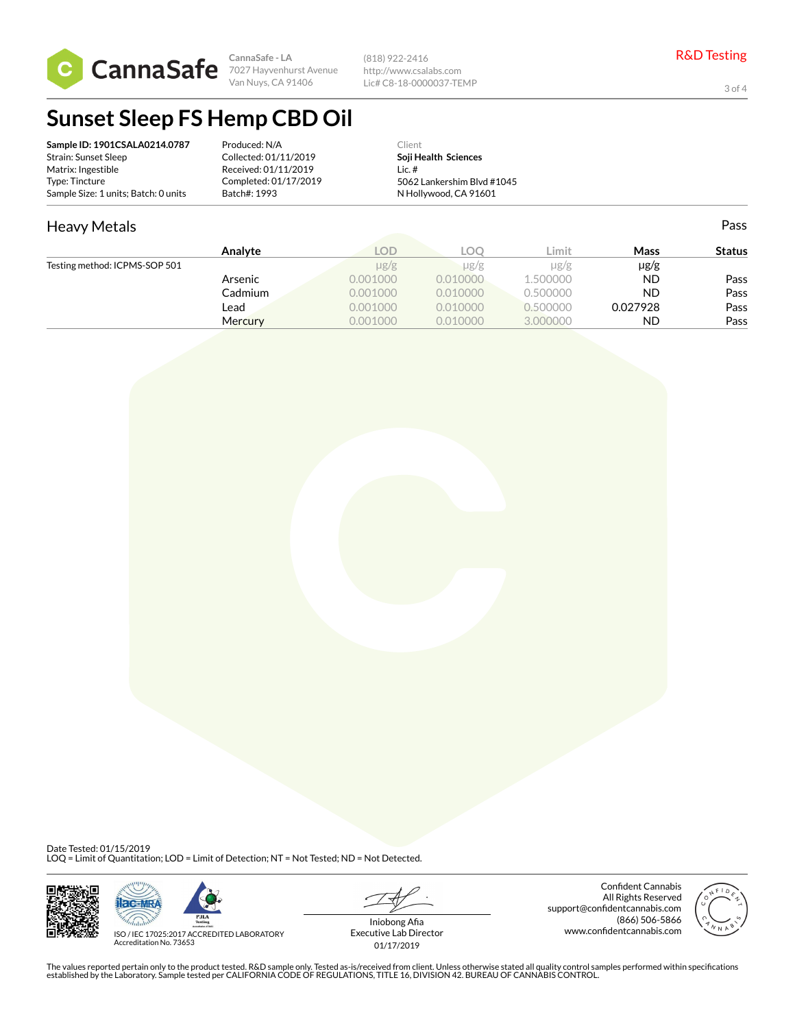

**CannaSafe - LA** 7027 Hayvenhurst Avenue Van Nuys, CA 91406

(818) 922-2416 http://www.csalabs.com Lic# C8-18-0000037-TEMP

3 of 4

Pass

### **Sunset Sleep FS Hemp CBD Oil**

| Sample ID: 1901CSALA0214.0787        | Produced: N/A         | Client                     |
|--------------------------------------|-----------------------|----------------------------|
| Strain: Sunset Sleep                 | Collected: 01/11/2019 | Soji Health Sciences       |
| Matrix: Ingestible                   | Received: 01/11/2019  | Lic. $#$                   |
| Type: Tincture                       | Completed: 01/17/2019 | 5062 Lankershim Blvd #1045 |
| Sample Size: 1 units; Batch: 0 units | Batch#: 1993          | N Hollywood, CA 91601      |

### Heavy Metals

| Analyte                       | LOD       | LOO.      | ∟imit     | Mass      | <b>Status</b> |
|-------------------------------|-----------|-----------|-----------|-----------|---------------|
| Testing method: ICPMS-SOP 501 | $\mu$ g/g | $\mu$ g/g | $\mu$ g/g | $\mu$ g/g |               |
| Arsenic                       | 0.001000  | 0.010000  | 1.500000  | <b>ND</b> | Pass          |
| Cadmium                       | 0.001000  | 0.010000  | 0.500000  | <b>ND</b> | Pass          |
| Lead                          | 0.001000  | 0.010000  | 0.500000  | 0.027928  | Pass          |
| <b>Mercury</b>                | 0.001000  | 0.010000  | 3.000000  | <b>ND</b> | Pass          |

Date Tested: 01/15/2019<br>LOQ = Limit of Quantitation; LOD = Limit of Detection; NT = Not Tested; ND = Not Detected.





ISO / IEC 17025:2017 ACCREDITED LABORATORY Accreditation No. 73653

Iniobong Afia Executive Lab Director 01/17/2019

Confident Cannabis All Rights Reserved support@confidentcannabis.com (866) 506-5866 www.confidentcannabis.com